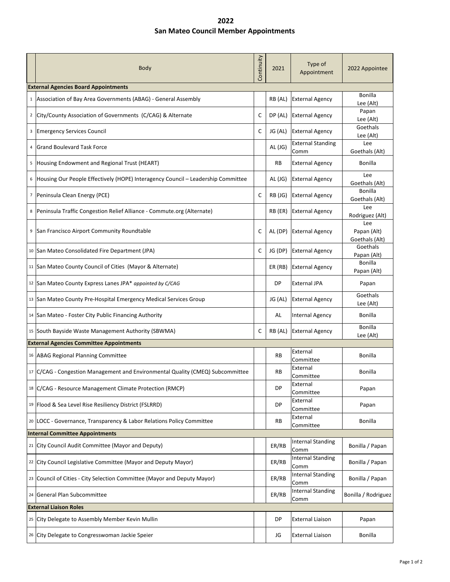## **2022 San Mateo Council Member Appointments**

|                                             | Body                                                                             | Continuity | 2021      | Type of<br>Appointment           | 2022 Appointee                       |  |  |  |
|---------------------------------------------|----------------------------------------------------------------------------------|------------|-----------|----------------------------------|--------------------------------------|--|--|--|
| <b>External Agencies Board Appointments</b> |                                                                                  |            |           |                                  |                                      |  |  |  |
| $\mathbf{1}$                                | Association of Bay Area Governments (ABAG) - General Assembly                    |            | RB (AL)   | <b>External Agency</b>           | <b>Bonilla</b><br>Lee (Alt)          |  |  |  |
|                                             | 2 City/County Association of Governments (C/CAG) & Alternate                     | C          | DP (AL)   | <b>External Agency</b>           | Papan<br>Lee (Alt)                   |  |  |  |
|                                             | <sup>3</sup> Emergency Services Council                                          | C          | JG (AL)   | <b>External Agency</b>           | Goethals<br>Lee (Alt)                |  |  |  |
| 4                                           | <b>Grand Boulevard Task Force</b>                                                |            | AL (JG)   | <b>External Standing</b><br>Comm | Lee<br>Goethals (Alt)                |  |  |  |
| 5                                           | Housing Endowment and Regional Trust (HEART)                                     |            | <b>RB</b> | <b>External Agency</b>           | Bonilla                              |  |  |  |
| 6                                           | Housing Our People Effectively (HOPE) Interagency Council - Leadership Committee |            | AL (JG)   | <b>External Agency</b>           | Lee<br>Goethals (Alt)                |  |  |  |
|                                             | 7 Peninsula Clean Energy (PCE)                                                   | C          | RB (JG)   | <b>External Agency</b>           | <b>Bonilla</b><br>Goethals (Alt)     |  |  |  |
| 8                                           | Peninsula Traffic Congestion Relief Alliance - Commute.org (Alternate)           |            | RB (ER)   | <b>External Agency</b>           | Lee<br>Rodriguez (Alt)               |  |  |  |
|                                             | <sup>9</sup> San Francisco Airport Community Roundtable                          | C          | AL (DP)   | <b>External Agency</b>           | Lee<br>Papan (Alt)<br>Goethals (Alt) |  |  |  |
|                                             | 10 San Mateo Consolidated Fire Department (JPA)                                  | C          |           | JG (DP) External Agency          | Goethals<br>Papan (Alt)              |  |  |  |
|                                             | 11 San Mateo County Council of Cities (Mayor & Alternate)                        |            |           | ER (RB) External Agency          | <b>Bonilla</b><br>Papan (Alt)        |  |  |  |
|                                             | 12 San Mateo County Express Lanes JPA* appointed by C/CAG                        |            | <b>DP</b> | <b>External JPA</b>              | Papan                                |  |  |  |
|                                             | 13 San Mateo County Pre-Hospital Emergency Medical Services Group                |            | JG (AL)   | <b>External Agency</b>           | Goethals<br>Lee (Alt)                |  |  |  |
|                                             | 14 San Mateo - Foster City Public Financing Authority                            |            | AL        | <b>Internal Agency</b>           | Bonilla                              |  |  |  |
|                                             | 15 South Bayside Waste Management Authority (SBWMA)                              | C          | RB (AL)   | <b>External Agency</b>           | <b>Bonilla</b><br>Lee (Alt)          |  |  |  |
|                                             | <b>External Agencies Committee Appointments</b>                                  |            |           |                                  |                                      |  |  |  |
|                                             | 16 ABAG Regional Planning Committee                                              |            | RB        | External<br>Committee            | Bonilla                              |  |  |  |
|                                             | 17   C/CAG - Congestion Management and Environmental Quality (CMEQ) Subcommittee |            | RB        | External<br>Committee            | Bonilla                              |  |  |  |
| 18                                          | C/CAG - Resource Management Climate Protection (RMCP)                            |            | DP        | External<br>Committee            | Papan                                |  |  |  |
|                                             | 19 Flood & Sea Level Rise Resiliency District (FSLRRD)                           |            | DP        | External<br>Committee            | Papan                                |  |  |  |
|                                             | 20 LOCC - Governance, Transparency & Labor Relations Policy Committee            |            | RB        | External<br>Committee            | Bonilla                              |  |  |  |
| <b>Internal Committee Appointments</b>      |                                                                                  |            |           |                                  |                                      |  |  |  |
| 21                                          | City Council Audit Committee (Mayor and Deputy)                                  |            | ER/RB     | <b>Internal Standing</b><br>Comm | Bonilla / Papan                      |  |  |  |
|                                             | 22 City Council Legislative Committee (Mayor and Deputy Mayor)                   |            | ER/RB     | <b>Internal Standing</b><br>Comm | Bonilla / Papan                      |  |  |  |
|                                             | 23 Council of Cities - City Selection Committee (Mayor and Deputy Mayor)         |            | ER/RB     | <b>Internal Standing</b><br>Comm | Bonilla / Papan                      |  |  |  |
|                                             | 24 General Plan Subcommittee                                                     |            | ER/RB     | <b>Internal Standing</b><br>Comm | Bonilla / Rodriguez                  |  |  |  |
| <b>External Liaison Roles</b>               |                                                                                  |            |           |                                  |                                      |  |  |  |
| 25                                          | City Delegate to Assembly Member Kevin Mullin                                    |            | DP        | <b>External Liaison</b>          | Papan                                |  |  |  |
|                                             | 26 City Delegate to Congresswoman Jackie Speier                                  |            | JG        | <b>External Liaison</b>          | Bonilla                              |  |  |  |